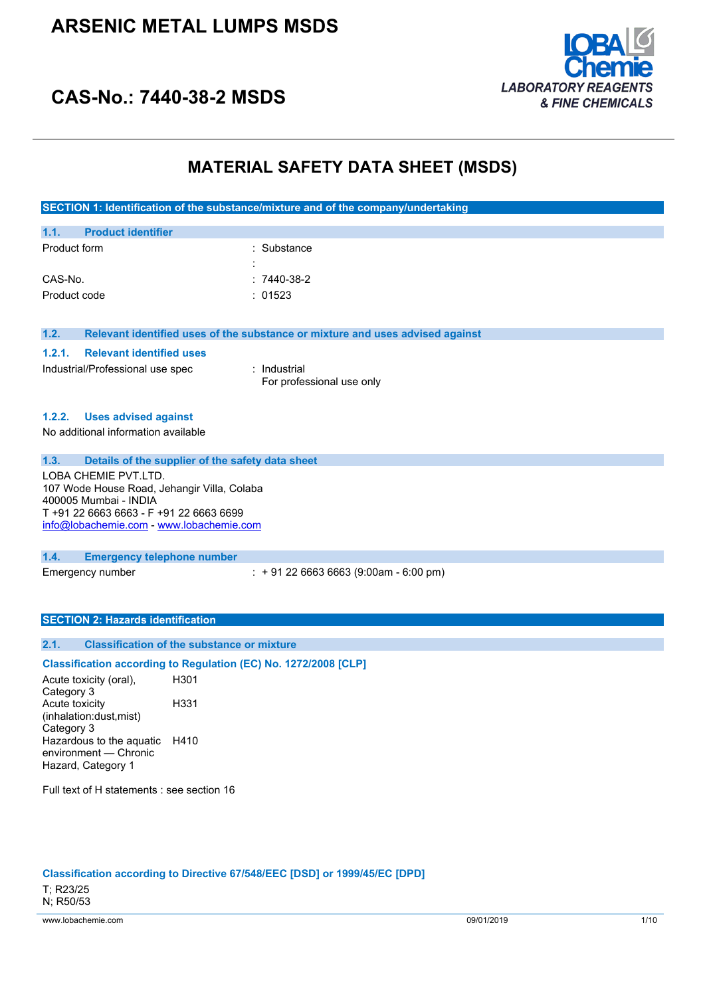# **ARSENIC METAL LUMPS MSDS**



# **CAS-No.: 7440-38-2 MSDS**

# **MATERIAL SAFETY DATA SHEET (MSDS)**

| SECTION 1: Identification of the substance/mixture and of the company/undertaking |
|-----------------------------------------------------------------------------------|
|-----------------------------------------------------------------------------------|

| 1.1.         | <b>Product identifier</b> |                     |              |
|--------------|---------------------------|---------------------|--------------|
| Product form |                           |                     | : Substance  |
|              |                           | ٠<br>$\blacksquare$ |              |
| CAS-No.      |                           |                     | $:7440-38-2$ |
| Product code |                           |                     | : 01523      |

**1.2. Relevant identified uses of the substance or mixture and uses advised against**

### **1.2.1. Relevant identified uses**

Industrial/Professional use spec : Industrial

For professional use only

### **1.2.2. Uses advised against**

No additional information available

## **1.3. Details of the supplier of the safety data sheet**

LOBA CHEMIE PVT.LTD. 107 Wode House Road, Jehangir Villa, Colaba 400005 Mumbai - INDIA T +91 22 6663 6663 - F +91 22 6663 6699 [info@lobachemie.com](mailto:info@lobachemie.com) - <www.lobachemie.com>

### **1.4. Emergency telephone number**

Emergency number : + 91 22 6663 6663 (9:00am - 6:00 pm)

### **SECTION 2: Hazards identification**

## **2.1. Classification of the substance or mixture**

## **Classification according to Regulation (EC) No. 1272/2008 [CLP]**

Acute toxicity (oral), Category 3 H301 Acute toxicity (inhalation:dust,mist) Category 3 H331 Hazardous to the aquatic H410 environment — Chronic Hazard, Category 1

Full text of H statements : see section 16

**Classification according to Directive 67/548/EEC [DSD] or 1999/45/EC [DPD]**

T; R23/25 N; R50/53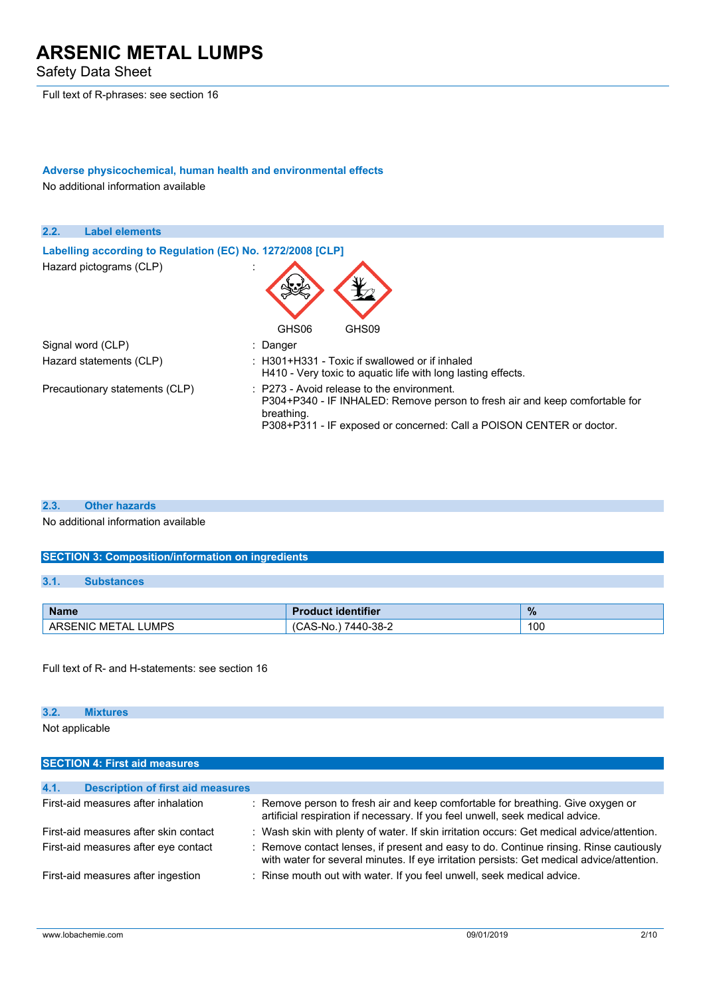Safety Data Sheet

Full text of R-phrases: see section 16

# **Adverse physicochemical, human health and environmental effects**

No additional information available



#### **2.3. Other hazards**

No additional information available

## **SECTION 3: Composition/information on ingredients**

### **3.1. Substances**

| <b>Name</b>              | <b>Product identifier</b> | $\%$ |
|--------------------------|---------------------------|------|
| LUMPS<br>ARSENIC METAL L | 7440-38-2<br>'CAS-No.     | 100  |

Full text of R- and H-statements: see section 16

### **3.2. Mixtures**

Not applicable

| <b>SECTION 4: First aid measures</b>             |                                                                                                                                                                                     |
|--------------------------------------------------|-------------------------------------------------------------------------------------------------------------------------------------------------------------------------------------|
|                                                  |                                                                                                                                                                                     |
| 4.1.<br><b>Description of first aid measures</b> |                                                                                                                                                                                     |
| First-aid measures after inhalation              | : Remove person to fresh air and keep comfortable for breathing. Give oxygen or<br>artificial respiration if necessary. If you feel unwell, seek medical advice.                    |
| First-aid measures after skin contact            | : Wash skin with plenty of water. If skin irritation occurs: Get medical advice/attention.                                                                                          |
| First-aid measures after eye contact             | : Remove contact lenses, if present and easy to do. Continue rinsing. Rinse cautiously<br>with water for several minutes. If eye irritation persists: Get medical advice/attention. |
| First-aid measures after ingestion               | : Rinse mouth out with water. If you feel unwell, seek medical advice.                                                                                                              |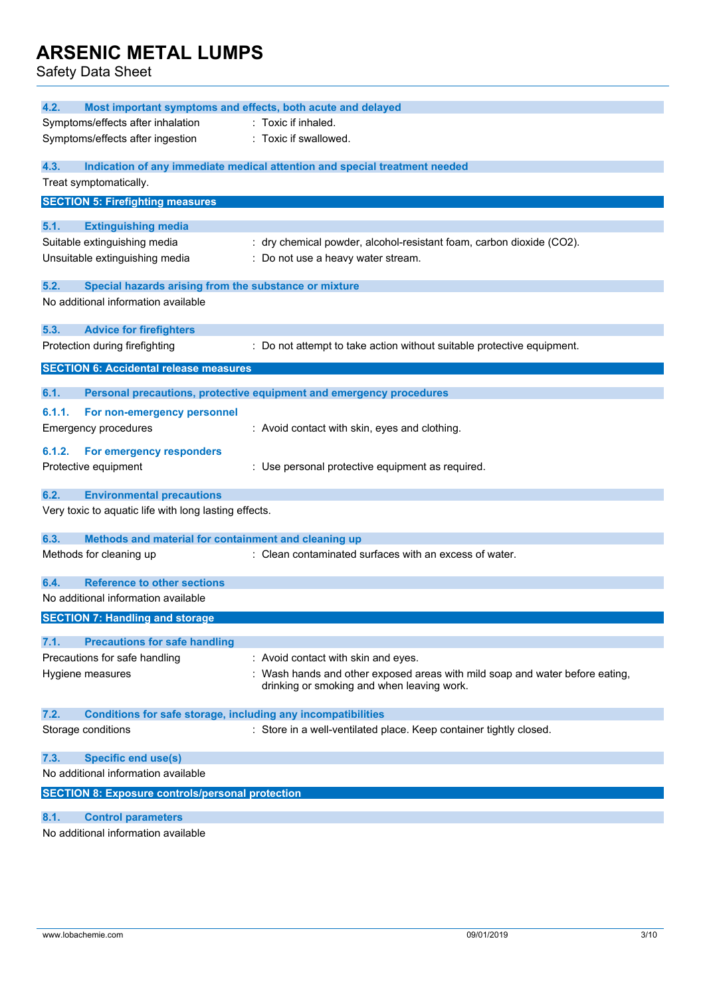| 4.2.<br>Most important symptoms and effects, both acute and delayed         |                                                                                                                            |
|-----------------------------------------------------------------------------|----------------------------------------------------------------------------------------------------------------------------|
| Symptoms/effects after inhalation                                           | : Toxic if inhaled.                                                                                                        |
| Symptoms/effects after ingestion                                            | : Toxic if swallowed.                                                                                                      |
| 4.3.                                                                        | Indication of any immediate medical attention and special treatment needed                                                 |
| Treat symptomatically.                                                      |                                                                                                                            |
| <b>SECTION 5: Firefighting measures</b>                                     |                                                                                                                            |
| 5.1.<br><b>Extinguishing media</b>                                          |                                                                                                                            |
| Suitable extinguishing media                                                | : dry chemical powder, alcohol-resistant foam, carbon dioxide (CO2).                                                       |
| Unsuitable extinguishing media                                              | : Do not use a heavy water stream.                                                                                         |
| 5.2.<br>Special hazards arising from the substance or mixture               |                                                                                                                            |
| No additional information available                                         |                                                                                                                            |
|                                                                             |                                                                                                                            |
| 5.3.<br><b>Advice for firefighters</b>                                      |                                                                                                                            |
| Protection during firefighting                                              | : Do not attempt to take action without suitable protective equipment.                                                     |
| <b>SECTION 6: Accidental release measures</b>                               |                                                                                                                            |
| 6.1.                                                                        | Personal precautions, protective equipment and emergency procedures                                                        |
| 6.1.1.<br>For non-emergency personnel                                       |                                                                                                                            |
| <b>Emergency procedures</b>                                                 | : Avoid contact with skin, eyes and clothing.                                                                              |
| 6.1.2.<br>For emergency responders                                          |                                                                                                                            |
| Protective equipment                                                        | : Use personal protective equipment as required.                                                                           |
|                                                                             |                                                                                                                            |
| 6.2.<br><b>Environmental precautions</b>                                    |                                                                                                                            |
| Very toxic to aquatic life with long lasting effects.                       |                                                                                                                            |
| 6.3.<br>Methods and material for containment and cleaning up                |                                                                                                                            |
| Methods for cleaning up                                                     | : Clean contaminated surfaces with an excess of water.                                                                     |
|                                                                             |                                                                                                                            |
| <b>Reference to other sections</b><br>6.4.                                  |                                                                                                                            |
| No additional information available                                         |                                                                                                                            |
| <b>SECTION 7: Handling and storage</b>                                      |                                                                                                                            |
| 7.1.<br><b>Precautions for safe handling</b>                                |                                                                                                                            |
| Precautions for safe handling                                               | : Avoid contact with skin and eyes.                                                                                        |
| Hygiene measures                                                            | : Wash hands and other exposed areas with mild soap and water before eating,<br>drinking or smoking and when leaving work. |
| <b>Conditions for safe storage, including any incompatibilities</b><br>7.2. |                                                                                                                            |
| Storage conditions                                                          | : Store in a well-ventilated place. Keep container tightly closed.                                                         |
|                                                                             |                                                                                                                            |
| 7.3.<br><b>Specific end use(s)</b>                                          |                                                                                                                            |
| No additional information available                                         |                                                                                                                            |
| <b>SECTION 8: Exposure controls/personal protection</b>                     |                                                                                                                            |
| 8.1.<br><b>Control parameters</b>                                           |                                                                                                                            |
| No additional information available                                         |                                                                                                                            |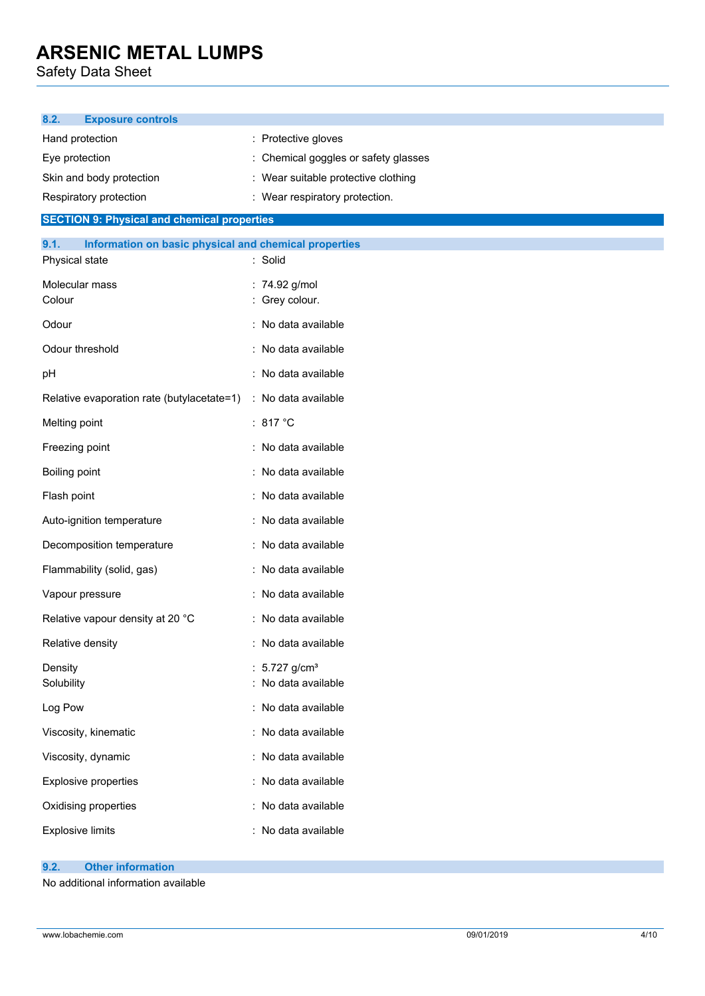Safety Data Sheet

| 8.2.<br><b>Exposure controls</b>                                                |                                                    |  |  |  |
|---------------------------------------------------------------------------------|----------------------------------------------------|--|--|--|
| Hand protection                                                                 | : Protective gloves                                |  |  |  |
| Eye protection                                                                  | Chemical goggles or safety glasses                 |  |  |  |
| Skin and body protection                                                        | : Wear suitable protective clothing                |  |  |  |
| : Wear respiratory protection.<br>Respiratory protection                        |                                                    |  |  |  |
| <b>SECTION 9: Physical and chemical properties</b>                              |                                                    |  |  |  |
| 9.1.<br>Information on basic physical and chemical properties<br>Physical state | : Solid                                            |  |  |  |
| Molecular mass<br>Colour                                                        | : 74.92 g/mol<br>: Grey colour.                    |  |  |  |
| Odour                                                                           | : No data available                                |  |  |  |
| Odour threshold                                                                 | : No data available                                |  |  |  |
|                                                                                 | : No data available                                |  |  |  |
| pH                                                                              |                                                    |  |  |  |
| Relative evaporation rate (butylacetate=1)                                      | : No data available<br>: 817 $°C$                  |  |  |  |
| Melting point                                                                   |                                                    |  |  |  |
| Freezing point                                                                  | : No data available                                |  |  |  |
| Boiling point                                                                   | : No data available                                |  |  |  |
| Flash point                                                                     | : No data available                                |  |  |  |
| Auto-ignition temperature                                                       | : No data available                                |  |  |  |
| Decomposition temperature                                                       | : No data available                                |  |  |  |
| Flammability (solid, gas)                                                       | : No data available                                |  |  |  |
| Vapour pressure                                                                 | : No data available                                |  |  |  |
| Relative vapour density at 20 °C                                                | : No data available                                |  |  |  |
| Relative density                                                                | No data available                                  |  |  |  |
| Density<br>Solubility                                                           | : $5.727$ g/cm <sup>3</sup><br>: No data available |  |  |  |
| Log Pow                                                                         | : No data available                                |  |  |  |
| Viscosity, kinematic                                                            | : No data available                                |  |  |  |
| Viscosity, dynamic                                                              | : No data available                                |  |  |  |
| Explosive properties                                                            | : No data available                                |  |  |  |
| Oxidising properties                                                            | : No data available                                |  |  |  |
| <b>Explosive limits</b>                                                         | : No data available                                |  |  |  |

## **9.2. Other information**

No additional information available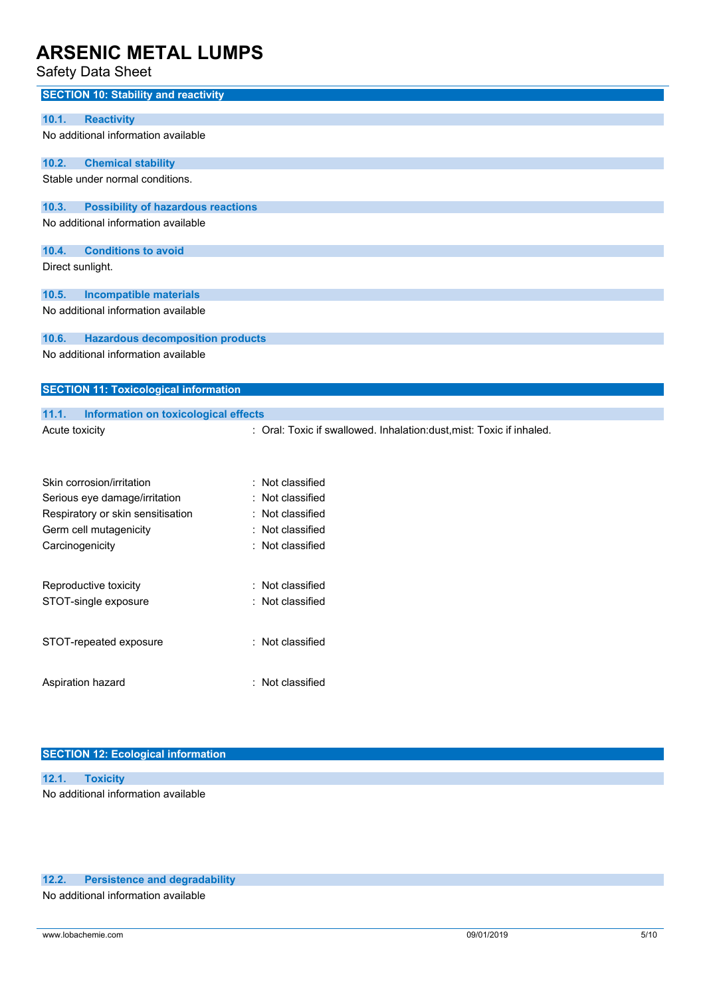# Safety Data Sheet

| Salely Dala Sileel                                                                                                        |                                                                      |
|---------------------------------------------------------------------------------------------------------------------------|----------------------------------------------------------------------|
| <b>SECTION 10: Stability and reactivity</b>                                                                               |                                                                      |
| 10.1.<br><b>Reactivity</b>                                                                                                |                                                                      |
| No additional information available                                                                                       |                                                                      |
|                                                                                                                           |                                                                      |
| 10.2.<br><b>Chemical stability</b>                                                                                        |                                                                      |
| Stable under normal conditions.                                                                                           |                                                                      |
| 10.3.<br><b>Possibility of hazardous reactions</b>                                                                        |                                                                      |
| No additional information available                                                                                       |                                                                      |
|                                                                                                                           |                                                                      |
| 10.4.<br><b>Conditions to avoid</b>                                                                                       |                                                                      |
| Direct sunlight.                                                                                                          |                                                                      |
|                                                                                                                           |                                                                      |
| <b>Incompatible materials</b><br>10.5.                                                                                    |                                                                      |
| No additional information available                                                                                       |                                                                      |
| <b>Hazardous decomposition products</b><br>10.6.                                                                          |                                                                      |
| No additional information available                                                                                       |                                                                      |
|                                                                                                                           |                                                                      |
| <b>SECTION 11: Toxicological information</b>                                                                              |                                                                      |
|                                                                                                                           |                                                                      |
| 11.1.<br><b>Information on toxicological effects</b>                                                                      |                                                                      |
| Acute toxicity                                                                                                            | : Oral: Toxic if swallowed. Inhalation:dust, mist: Toxic if inhaled. |
|                                                                                                                           |                                                                      |
|                                                                                                                           |                                                                      |
|                                                                                                                           |                                                                      |
|                                                                                                                           |                                                                      |
|                                                                                                                           |                                                                      |
|                                                                                                                           |                                                                      |
|                                                                                                                           |                                                                      |
|                                                                                                                           |                                                                      |
| Reproductive toxicity                                                                                                     | Not classified                                                       |
|                                                                                                                           |                                                                      |
|                                                                                                                           |                                                                      |
| STOT-repeated exposure                                                                                                    | : Not classified                                                     |
|                                                                                                                           |                                                                      |
|                                                                                                                           |                                                                      |
| Aspiration hazard                                                                                                         | : Not classified                                                     |
|                                                                                                                           |                                                                      |
| Skin corrosion/irritation<br>Serious eye damage/irritation<br>Respiratory or skin sensitisation<br>Germ cell mutagenicity | Not classified<br>Not classified<br>Not classified<br>Not classified |
|                                                                                                                           |                                                                      |
|                                                                                                                           |                                                                      |
| Carcinogenicity                                                                                                           | : Not classified                                                     |
|                                                                                                                           |                                                                      |
|                                                                                                                           |                                                                      |
|                                                                                                                           |                                                                      |
|                                                                                                                           |                                                                      |
| STOT-single exposure                                                                                                      | Not classified                                                       |
|                                                                                                                           |                                                                      |
|                                                                                                                           |                                                                      |
|                                                                                                                           |                                                                      |
|                                                                                                                           |                                                                      |
|                                                                                                                           |                                                                      |
|                                                                                                                           |                                                                      |
|                                                                                                                           |                                                                      |

# **SECTION 12: Ecological information**

|                                     | 12.1. Toxicity |  |  |
|-------------------------------------|----------------|--|--|
| No additional information available |                |  |  |

## **12.2. Persistence and degradability**

No additional information available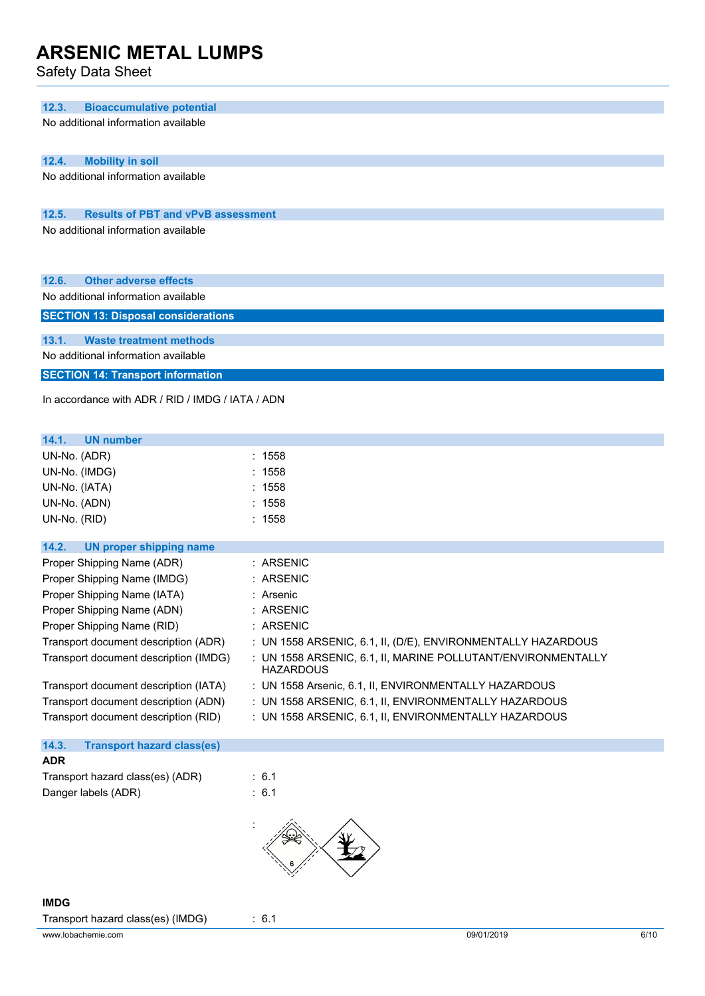| 12.3.<br><b>Bioaccumulative potential</b>          |                                                                                  |
|----------------------------------------------------|----------------------------------------------------------------------------------|
| No additional information available                |                                                                                  |
|                                                    |                                                                                  |
| 12.4.<br><b>Mobility in soil</b>                   |                                                                                  |
| No additional information available                |                                                                                  |
|                                                    |                                                                                  |
| 12.5.<br><b>Results of PBT and vPvB assessment</b> |                                                                                  |
| No additional information available                |                                                                                  |
|                                                    |                                                                                  |
|                                                    |                                                                                  |
| <b>Other adverse effects</b><br>12.6.              |                                                                                  |
| No additional information available                |                                                                                  |
| <b>SECTION 13: Disposal considerations</b>         |                                                                                  |
| 13.1.<br><b>Waste treatment methods</b>            |                                                                                  |
| No additional information available                |                                                                                  |
| <b>SECTION 14: Transport information</b>           |                                                                                  |
| In accordance with ADR / RID / IMDG / IATA / ADN   |                                                                                  |
|                                                    |                                                                                  |
|                                                    |                                                                                  |
| 14.1.<br><b>UN number</b>                          |                                                                                  |
| UN-No. (ADR)                                       | : 1558                                                                           |
| UN-No. (IMDG)                                      | : 1558                                                                           |
| UN-No. (IATA)                                      | : 1558                                                                           |
| UN-No. (ADN)                                       | : 1558                                                                           |
| UN-No. (RID)                                       | : 1558                                                                           |
| 14.2.<br><b>UN proper shipping name</b>            |                                                                                  |
| Proper Shipping Name (ADR)                         | : ARSENIC                                                                        |
| Proper Shipping Name (IMDG)                        | : ARSENIC                                                                        |
| Proper Shipping Name (IATA)                        | : Arsenic                                                                        |
| Proper Shipping Name (ADN)                         | <b>ARSENIC</b>                                                                   |
| Proper Shipping Name (RID)                         | : ARSENIC                                                                        |
| Transport document description (ADR)               | : UN 1558 ARSENIC, 6.1, II, (D/E), ENVIRONMENTALLY HAZARDOUS                     |
| Transport document description (IMDG)              | : UN 1558 ARSENIC, 6.1, II, MARINE POLLUTANT/ENVIRONMENTALLY<br><b>HAZARDOUS</b> |
| Transport document description (IATA)              | : UN 1558 Arsenic, 6.1, II, ENVIRONMENTALLY HAZARDOUS                            |
| Transport document description (ADN)               | : UN 1558 ARSENIC, 6.1, II, ENVIRONMENTALLY HAZARDOUS                            |
| Transport document description (RID)               | : UN 1558 ARSENIC, 6.1, II, ENVIRONMENTALLY HAZARDOUS                            |
|                                                    |                                                                                  |

|                                  | <b>Transport hazard class(es)</b> |  |
|----------------------------------|-----------------------------------|--|
| <b>ADR</b>                       |                                   |  |
| Transport hazard class(es) (ADR) | $\therefore$ 6.1                  |  |
| Danger labels (ADR)              | $\therefore$ 6.1                  |  |

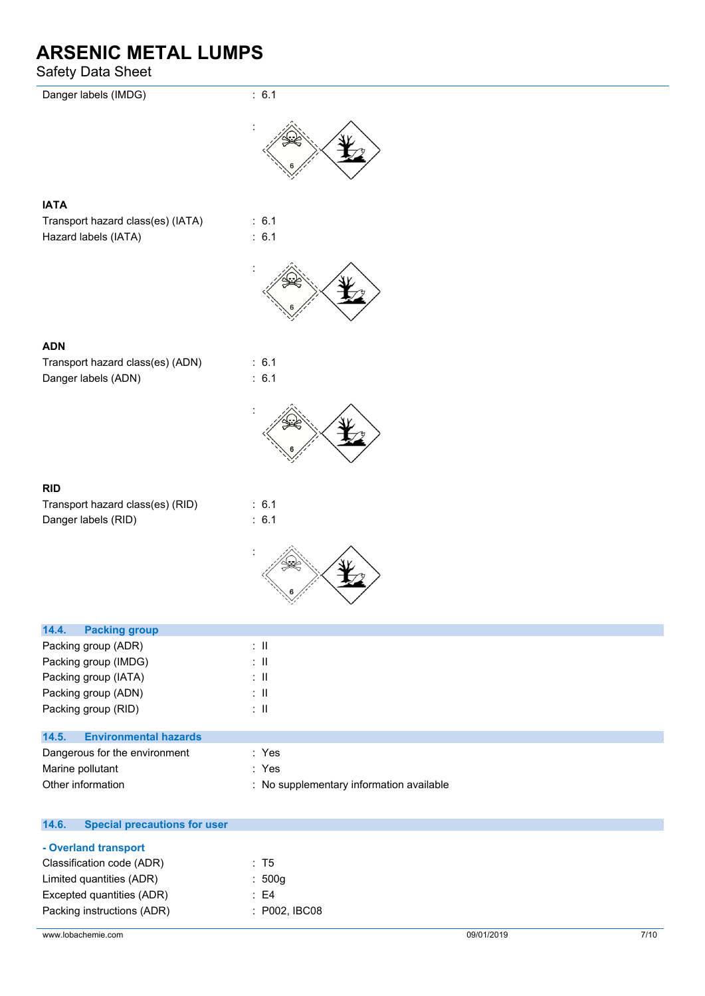| Danger labels (IMDG)                             | : 6.1                     |
|--------------------------------------------------|---------------------------|
|                                                  |                           |
|                                                  |                           |
| <b>IATA</b><br>Transport hazard class(es) (IATA) | : 6.1                     |
| Hazard labels (IATA)                             | : 6.1                     |
|                                                  |                           |
|                                                  |                           |
|                                                  |                           |
| <b>ADN</b>                                       |                           |
| Transport hazard class(es) (ADN)                 | : 6.1                     |
| Danger labels (ADN)                              | : 6.1                     |
|                                                  |                           |
|                                                  |                           |
| RID                                              |                           |
| Transport hazard class(es) (RID)                 | : 6.1                     |
| Danger labels (RID)                              | : 6.1                     |
|                                                  |                           |
|                                                  |                           |
| 14.4.<br><b>Packing group</b>                    |                           |
| Packing group (ADR)                              | $\lesssim 11$             |
| Packing group (IMDG)                             | $\lesssim 11$             |
| Packing group (IATA)                             | $\lesssim 11$             |
| Packing group (ADN)                              | $\colon \, \mathrm{I\!I}$ |
| Packing group (RID)                              | $\lesssim 11$             |
| 14.5.<br><b>Environmental hazards</b>            |                           |

| Dangerous for the environment | : Yes                                    |
|-------------------------------|------------------------------------------|
| Marine pollutant              | : Yes                                    |
| Other information             | : No supplementary information available |

| <b>Special precautions for user</b><br>14.6. |                 |
|----------------------------------------------|-----------------|
| - Overland transport                         |                 |
| Classification code (ADR)                    | : T5            |
| Limited quantities (ADR)                     | : $500q$        |
| Excepted quantities (ADR)                    | : E4            |
| Packing instructions (ADR)                   | $:$ P002, IBC08 |
|                                              |                 |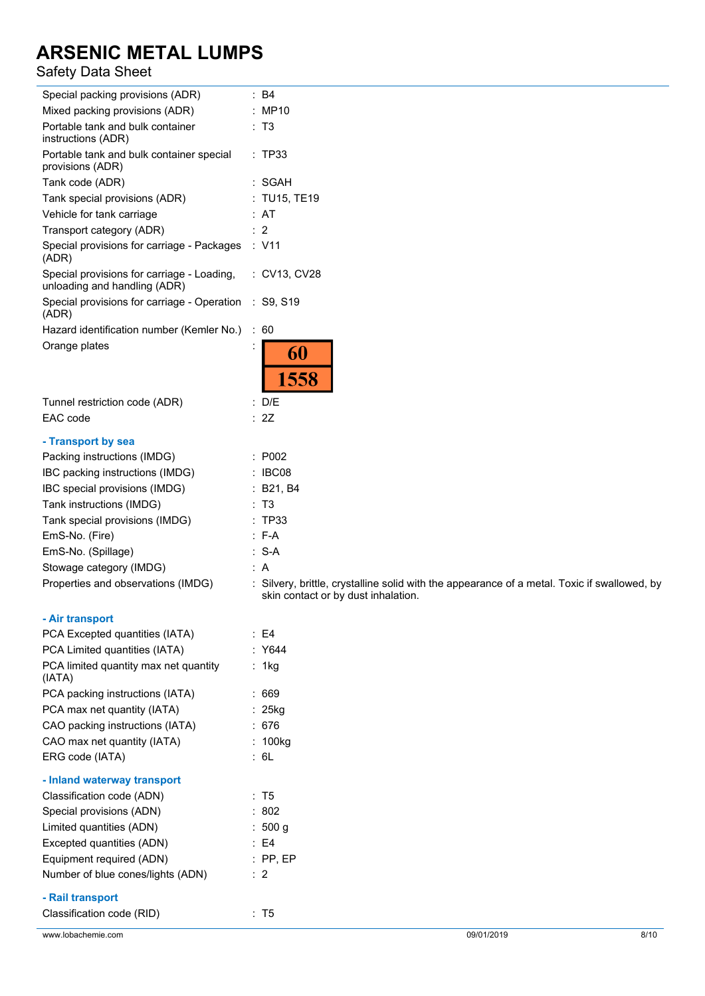| Special packing provisions (ADR)                                           | : B4                                                                                                                                |
|----------------------------------------------------------------------------|-------------------------------------------------------------------------------------------------------------------------------------|
| Mixed packing provisions (ADR)                                             | : MP10                                                                                                                              |
| Portable tank and bulk container<br>instructions (ADR)                     | : T3                                                                                                                                |
| Portable tank and bulk container special<br>provisions (ADR)               | : TP33                                                                                                                              |
| Tank code (ADR)                                                            | : SGAH                                                                                                                              |
| Tank special provisions (ADR)                                              | : TU15, TE19                                                                                                                        |
| Vehicle for tank carriage                                                  | : AT                                                                                                                                |
| Transport category (ADR)                                                   | : 2                                                                                                                                 |
| Special provisions for carriage - Packages<br>(ADR)                        | : V11                                                                                                                               |
| Special provisions for carriage - Loading,<br>unloading and handling (ADR) | : CV13, CV28                                                                                                                        |
| Special provisions for carriage - Operation<br>(ADR)                       | : S9, S19                                                                                                                           |
| Hazard identification number (Kemler No.) : 60                             |                                                                                                                                     |
| Orange plates                                                              | 60                                                                                                                                  |
|                                                                            | 1558                                                                                                                                |
| Tunnel restriction code (ADR)                                              | : D/E                                                                                                                               |
| EAC code                                                                   | : 2Z                                                                                                                                |
| - Transport by sea                                                         |                                                                                                                                     |
| Packing instructions (IMDG)                                                | : P002                                                                                                                              |
| IBC packing instructions (IMDG)                                            | : IBC08                                                                                                                             |
| IBC special provisions (IMDG)                                              | : B21, B4                                                                                                                           |
| Tank instructions (IMDG)                                                   | : T3                                                                                                                                |
| Tank special provisions (IMDG)                                             | : TP33                                                                                                                              |
| EmS-No. (Fire)                                                             | $: F-A$                                                                                                                             |
| EmS-No. (Spillage)                                                         | $: S-A$                                                                                                                             |
| Stowage category (IMDG)                                                    | : A                                                                                                                                 |
| Properties and observations (IMDG)                                         | : Silvery, brittle, crystalline solid with the appearance of a metal. Toxic if swallowed, by<br>skin contact or by dust inhalation. |
| - Air transport                                                            |                                                                                                                                     |
| PCA Excepted quantities (IATA)                                             | $\therefore$ E4                                                                                                                     |
| PCA Limited quantities (IATA)                                              | : Y644                                                                                                                              |
| PCA limited quantity max net quantity<br>(IATA)                            | : 1kg                                                                                                                               |
| PCA packing instructions (IATA)                                            | :669                                                                                                                                |
| PCA max net quantity (IATA)                                                | : 25kg                                                                                                                              |
| CAO packing instructions (IATA)                                            | : 676                                                                                                                               |
| CAO max net quantity (IATA)                                                | : 100kg                                                                                                                             |
| ERG code (IATA)                                                            | : 6L                                                                                                                                |
| - Inland waterway transport                                                |                                                                                                                                     |
| Classification code (ADN)                                                  | : T5                                                                                                                                |
| Special provisions (ADN)                                                   | : 802                                                                                                                               |
| Limited quantities (ADN)                                                   | : 500 g                                                                                                                             |
| Excepted quantities (ADN)                                                  | E4                                                                                                                                  |
| Equipment required (ADN)                                                   | $:$ PP, EP                                                                                                                          |
| Number of blue cones/lights (ADN)                                          | $\therefore$ 2                                                                                                                      |
|                                                                            |                                                                                                                                     |
| - Rail transport                                                           |                                                                                                                                     |
| Classification code (RID)                                                  | : T5                                                                                                                                |
| www.lobachemie.com                                                         | 09/01/2019<br>8/10                                                                                                                  |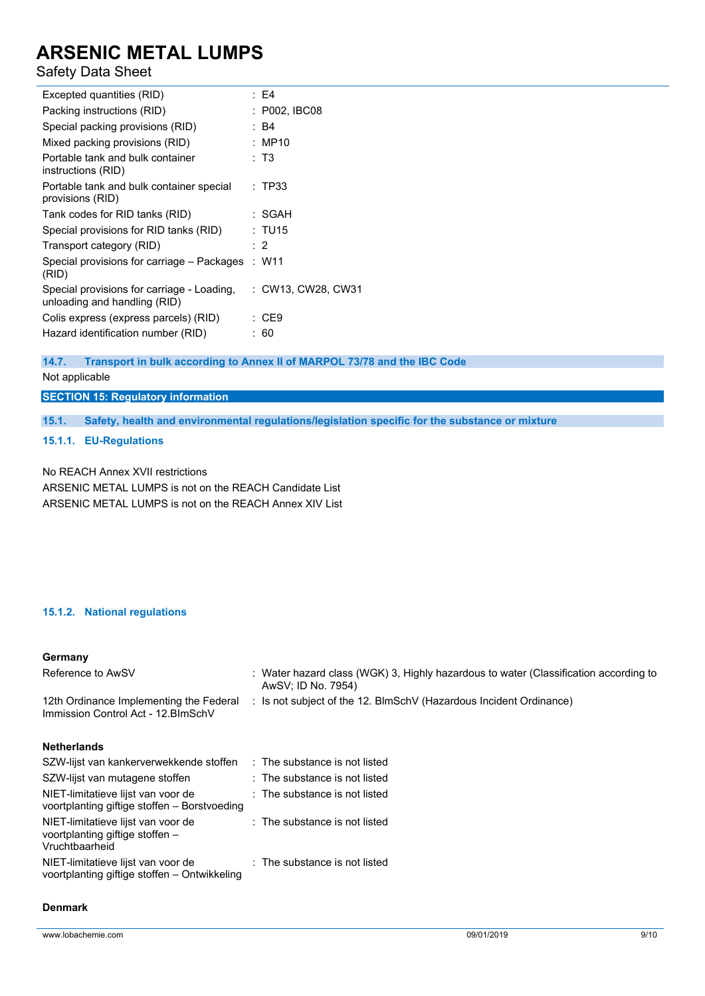# Safety Data Sheet

| Excepted quantities (RID)                                                  |  | : E4               |
|----------------------------------------------------------------------------|--|--------------------|
| Packing instructions (RID)                                                 |  | : P002, IBC08      |
| Special packing provisions (RID)                                           |  | : B4               |
| Mixed packing provisions (RID)                                             |  | : MP10             |
| Portable tank and bulk container<br>instructions (RID)                     |  | : T3               |
| Portable tank and bulk container special<br>provisions (RID)               |  | : TP33             |
| Tank codes for RID tanks (RID)                                             |  | : SGAH             |
| Special provisions for RID tanks (RID)                                     |  | : TU15             |
| Transport category (RID)                                                   |  | : 2                |
| Special provisions for carriage - Packages<br>(RID)                        |  | : W11              |
| Special provisions for carriage - Loading,<br>unloading and handling (RID) |  | : CW13, CW28, CW31 |
| Colis express (express parcels) (RID)                                      |  | : CE9              |
| Hazard identification number (RID)                                         |  | : 60               |
|                                                                            |  |                    |

## **14.7. Transport in bulk according to Annex II of MARPOL 73/78 and the IBC Code**

Not applicable

**SECTION 15: Regulatory information**

**15.1. Safety, health and environmental regulations/legislation specific for the substance or mixture**

## **15.1.1. EU-Regulations**

No REACH Annex XVII restrictions ARSENIC METAL LUMPS is not on the REACH Candidate List ARSENIC METAL LUMPS is not on the REACH Annex XIV List

## **15.1.2. National regulations**

# **Germany**

| Reference to AwSV                                                                       | : Water hazard class (WGK) 3, Highly hazardous to water (Classification according to<br>AwSV; ID No. 7954) |
|-----------------------------------------------------------------------------------------|------------------------------------------------------------------------------------------------------------|
| 12th Ordinance Implementing the Federal<br>Immission Control Act - 12. BlmSchV          | : Is not subject of the 12. BlmSchV (Hazardous Incident Ordinance)                                         |
| <b>Netherlands</b>                                                                      |                                                                                                            |
| SZW-lijst van kankerverwekkende stoffen                                                 | : The substance is not listed                                                                              |
| SZW-lijst van mutagene stoffen                                                          | $:$ The substance is not listed                                                                            |
| NIET-limitatieve lijst van voor de<br>voortplanting giftige stoffen – Borstvoeding      | $:$ The substance is not listed                                                                            |
| NIET-limitatieve lijst van voor de<br>voortplanting giftige stoffen -<br>Vruchtbaarheid | $\therefore$ The substance is not listed                                                                   |
| NIET-limitatieve lijst van voor de<br>voortplanting giftige stoffen – Ontwikkeling      | $\therefore$ The substance is not listed                                                                   |

## **Denmark**